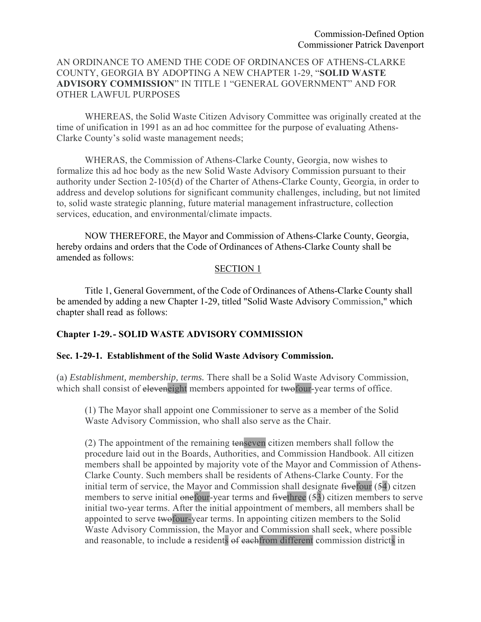## AN ORDINANCE TO AMEND THE CODE OF ORDINANCES OF ATHENS-CLARKE COUNTY, GEORGIA BY ADOPTING A NEW CHAPTER 1-29, "**SOLID WASTE ADVISORY COMMISSION**" IN TITLE 1 "GENERAL GOVERNMENT" AND FOR OTHER LAWFUL PURPOSES

 WHEREAS, the Solid Waste Citizen Advisory Committee was originally created at the time of unification in 1991 as an ad hoc committee for the purpose of evaluating Athens-Clarke County's solid waste management needs;

 WHERAS, the Commission of Athens-Clarke County, Georgia, now wishes to formalize this ad hoc body as the new Solid Waste Advisory Commission pursuant to their authority under Section 2-105(d) of the Charter of Athens-Clarke County, Georgia, in order to address and develop solutions for significant community challenges, including, but not limited to, solid waste strategic planning, future material management infrastructure, collection services, education, and environmental/climate impacts.

NOW THEREFORE, the Mayor and Commission of Athens-Clarke County, Georgia, hereby ordains and orders that the Code of Ordinances of Athens-Clarke County shall be amended as follows:

### SECTION 1

Title 1, General Government, of the Code of Ordinances of Athens-Clarke County shall be amended by adding a new Chapter 1-29, titled "Solid Waste Advisory Commission," which chapter shall read as follows:

### **Chapter 1-29. - SOLID WASTE ADVISORY COMMISSION**

#### **Sec. 1-29-1. Establishment of the Solid Waste Advisory Commission.**

(a) *Establishment, membership, terms.* There shall be a Solid Waste Advisory Commission, which shall consist of eleveneight members appointed for two four-year terms of office.

(1) The Mayor shall appoint one Commissioner to serve as a member of the Solid Waste Advisory Commission, who shall also serve as the Chair.

(2) The appointment of the remaining tenseven citizen members shall follow the procedure laid out in the Boards, Authorities, and Commission Handbook. All citizen members shall be appointed by majority vote of the Mayor and Commission of Athens-Clarke County. Such members shall be residents of Athens-Clarke County. For the initial term of service, the Mayor and Commission shall designate five four (54) citzen members to serve initial onefour-year terms and five three (53) citizen members to serve initial two-year terms. After the initial appointment of members, all members shall be appointed to serve twofour-year terms. In appointing citizen members to the Solid Waste Advisory Commission, the Mayor and Commission shall seek, where possible and reasonable, to include a residents of eachfrom different commission districts in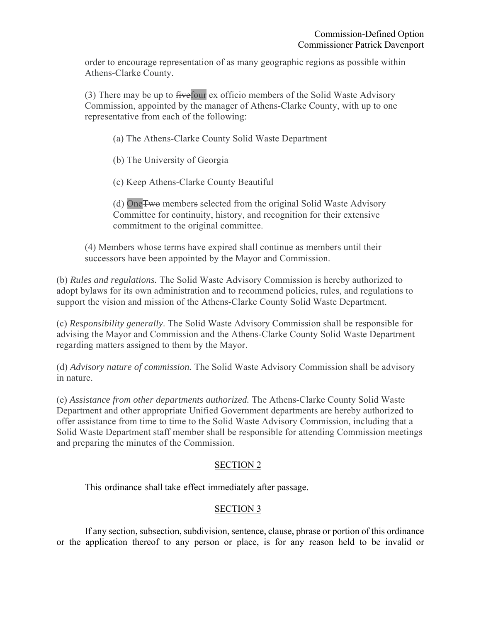order to encourage representation of as many geographic regions as possible within Athens-Clarke County.

(3) There may be up to fivefour ex officio members of the Solid Waste Advisory Commission, appointed by the manager of Athens-Clarke County, with up to one representative from each of the following:

(a) The Athens-Clarke County Solid Waste Department

(b) The University of Georgia

(c) Keep Athens-Clarke County Beautiful

(d) OneTwo members selected from the original Solid Waste Advisory Committee for continuity, history, and recognition for their extensive commitment to the original committee.

(4) Members whose terms have expired shall continue as members until their successors have been appointed by the Mayor and Commission.

(b) *Rules and regulations.* The Solid Waste Advisory Commission is hereby authorized to adopt bylaws for its own administration and to recommend policies, rules, and regulations to support the vision and mission of the Athens-Clarke County Solid Waste Department.

(c) *Responsibility generally*. The Solid Waste Advisory Commission shall be responsible for advising the Mayor and Commission and the Athens-Clarke County Solid Waste Department regarding matters assigned to them by the Mayor.

(d) *Advisory nature of commission.* The Solid Waste Advisory Commission shall be advisory in nature.

(e) *Assistance from other departments authorized.* The Athens-Clarke County Solid Waste Department and other appropriate Unified Government departments are hereby authorized to offer assistance from time to time to the Solid Waste Advisory Commission, including that a Solid Waste Department staff member shall be responsible for attending Commission meetings and preparing the minutes of the Commission.

# SECTION 2

This ordinance shall take effect immediately after passage.

## SECTION 3

If any section, subsection, subdivision, sentence, clause, phrase or portion of this ordinance or the application thereof to any person or place, is for any reason held to be invalid or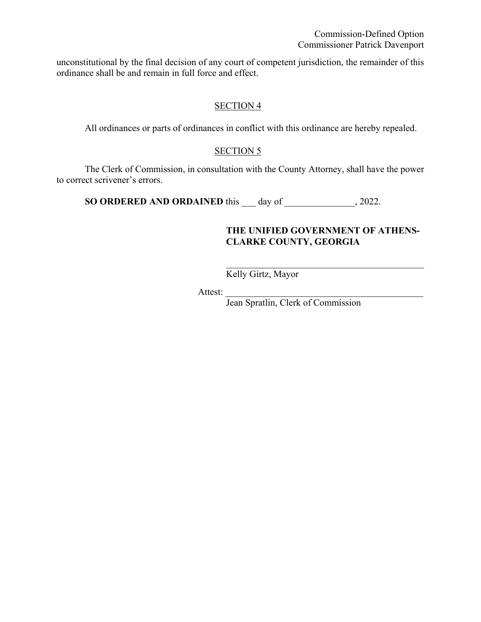Commission-Defined Option Commissioner Patrick Davenport

unconstitutional by the final decision of any court of competent jurisdiction, the remainder of this ordinance shall be and remain in full force and effect.

## SECTION 4

All ordinances or parts of ordinances in conflict with this ordinance are hereby repealed.

#### SECTION 5

The Clerk of Commission, in consultation with the County Attorney, shall have the power to correct scrivener's errors.

**SO ORDERED AND ORDAINED** this day of 3022.

### **THE UNIFIED GOVERNMENT OF ATHENS-CLARKE COUNTY, GEORGIA**

Kelly Girtz, Mayor

Attest:

Jean Spratlin, Clerk of Commission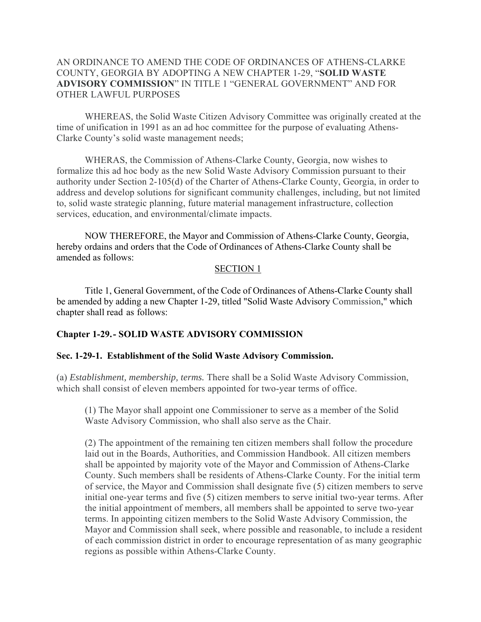### AN ORDINANCE TO AMEND THE CODE OF ORDINANCES OF ATHENS-CLARKE COUNTY, GEORGIA BY ADOPTING A NEW CHAPTER 1-29, "**SOLID WASTE ADVISORY COMMISSION**" IN TITLE 1 "GENERAL GOVERNMENT" AND FOR OTHER LAWFUL PURPOSES

 WHEREAS, the Solid Waste Citizen Advisory Committee was originally created at the time of unification in 1991 as an ad hoc committee for the purpose of evaluating Athens-Clarke County's solid waste management needs;

 WHERAS, the Commission of Athens-Clarke County, Georgia, now wishes to formalize this ad hoc body as the new Solid Waste Advisory Commission pursuant to their authority under Section 2-105(d) of the Charter of Athens-Clarke County, Georgia, in order to address and develop solutions for significant community challenges, including, but not limited to, solid waste strategic planning, future material management infrastructure, collection services, education, and environmental/climate impacts.

NOW THEREFORE, the Mayor and Commission of Athens-Clarke County, Georgia, hereby ordains and orders that the Code of Ordinances of Athens-Clarke County shall be amended as follows:

#### SECTION 1

Title 1, General Government, of the Code of Ordinances of Athens-Clarke County shall be amended by adding a new Chapter 1-29, titled "Solid Waste Advisory Commission," which chapter shall read as follows:

#### **Chapter 1-29. - SOLID WASTE ADVISORY COMMISSION**

#### **Sec. 1-29-1. Establishment of the Solid Waste Advisory Commission.**

(a) *Establishment, membership, terms.* There shall be a Solid Waste Advisory Commission, which shall consist of eleven members appointed for two-year terms of office.

(1) The Mayor shall appoint one Commissioner to serve as a member of the Solid Waste Advisory Commission, who shall also serve as the Chair.

(2) The appointment of the remaining ten citizen members shall follow the procedure laid out in the Boards, Authorities, and Commission Handbook. All citizen members shall be appointed by majority vote of the Mayor and Commission of Athens-Clarke County. Such members shall be residents of Athens-Clarke County. For the initial term of service, the Mayor and Commission shall designate five (5) citizen members to serve initial one-year terms and five (5) citizen members to serve initial two-year terms. After the initial appointment of members, all members shall be appointed to serve two-year terms. In appointing citizen members to the Solid Waste Advisory Commission, the Mayor and Commission shall seek, where possible and reasonable, to include a resident of each commission district in order to encourage representation of as many geographic regions as possible within Athens-Clarke County.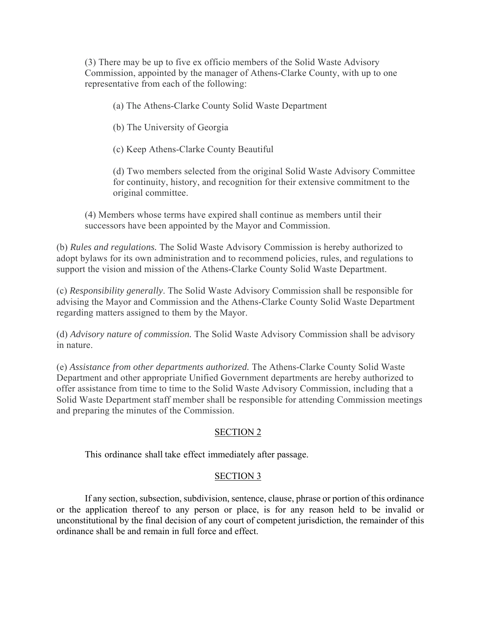(3) There may be up to five ex officio members of the Solid Waste Advisory Commission, appointed by the manager of Athens-Clarke County, with up to one representative from each of the following:

(a) The Athens-Clarke County Solid Waste Department

(b) The University of Georgia

(c) Keep Athens-Clarke County Beautiful

(d) Two members selected from the original Solid Waste Advisory Committee for continuity, history, and recognition for their extensive commitment to the original committee.

(4) Members whose terms have expired shall continue as members until their successors have been appointed by the Mayor and Commission.

(b) *Rules and regulations.* The Solid Waste Advisory Commission is hereby authorized to adopt bylaws for its own administration and to recommend policies, rules, and regulations to support the vision and mission of the Athens-Clarke County Solid Waste Department.

(c) *Responsibility generally*. The Solid Waste Advisory Commission shall be responsible for advising the Mayor and Commission and the Athens-Clarke County Solid Waste Department regarding matters assigned to them by the Mayor.

(d) *Advisory nature of commission.* The Solid Waste Advisory Commission shall be advisory in nature.

(e) *Assistance from other departments authorized.* The Athens-Clarke County Solid Waste Department and other appropriate Unified Government departments are hereby authorized to offer assistance from time to time to the Solid Waste Advisory Commission, including that a Solid Waste Department staff member shall be responsible for attending Commission meetings and preparing the minutes of the Commission.

## SECTION 2

This ordinance shall take effect immediately after passage.

### SECTION 3

If any section, subsection, subdivision, sentence, clause, phrase or portion of this ordinance or the application thereof to any person or place, is for any reason held to be invalid or unconstitutional by the final decision of any court of competent jurisdiction, the remainder of this ordinance shall be and remain in full force and effect.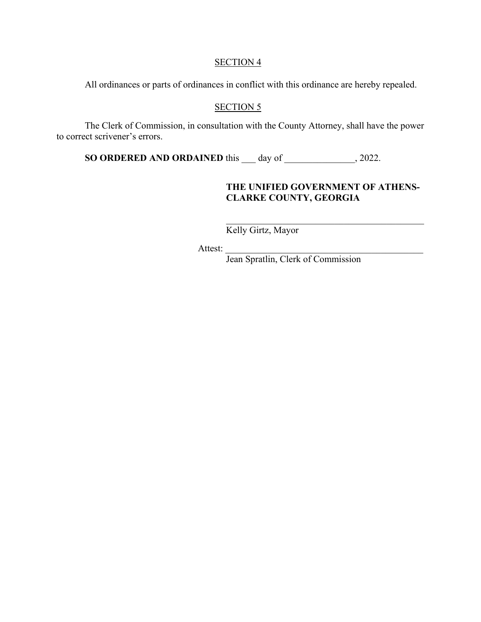#### SECTION 4

All ordinances or parts of ordinances in conflict with this ordinance are hereby repealed.

## SECTION<sub>5</sub>

The Clerk of Commission, in consultation with the County Attorney, shall have the power to correct scrivener's errors.

**SO ORDERED AND ORDAINED** this \_\_\_ day of \_\_\_\_\_\_\_\_\_\_\_\_\_, 2022.

## **THE UNIFIED GOVERNMENT OF ATHENS-CLARKE COUNTY, GEORGIA**

Kelly Girtz, Mayor

Attest:

Jean Spratlin, Clerk of Commission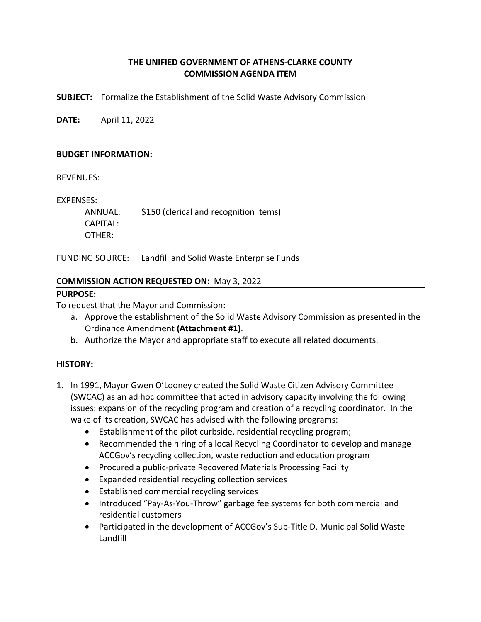## **THE UNIFIED GOVERNMENT OF ATHENS‐CLARKE COUNTY COMMISSION AGENDA ITEM**

**SUBJECT:**  Formalize the Establishment of the Solid Waste Advisory Commission

**DATE:**  April 11, 2022

### **BUDGET INFORMATION:**

REVENUES:

EXPENSES:

 ANNUAL: \$150 (clerical and recognition items) CAPITAL: OTHER:

FUNDING SOURCE: Landfill and Solid Waste Enterprise Funds

### **COMMISSION ACTION REQUESTED ON:** May 3, 2022

### **PURPOSE:**

To request that the Mayor and Commission:

- a. Approve the establishment of the Solid Waste Advisory Commission as presented in the Ordinance Amendment **(Attachment #1)**.
- b. Authorize the Mayor and appropriate staff to execute all related documents.

### **HISTORY:**

- 1. In 1991, Mayor Gwen O'Looney created the Solid Waste Citizen Advisory Committee (SWCAC) as an ad hoc committee that acted in advisory capacity involving the following issues: expansion of the recycling program and creation of a recycling coordinator. In the wake of its creation, SWCAC has advised with the following programs:
	- Establishment of the pilot curbside, residential recycling program;
	- Recommended the hiring of a local Recycling Coordinator to develop and manage ACCGov's recycling collection, waste reduction and education program
	- Procured a public-private Recovered Materials Processing Facility
	- Expanded residential recycling collection services
	- Established commercial recycling services
	- Introduced "Pay-As-You-Throw" garbage fee systems for both commercial and residential customers
	- Participated in the development of ACCGov's Sub-Title D, Municipal Solid Waste Landfill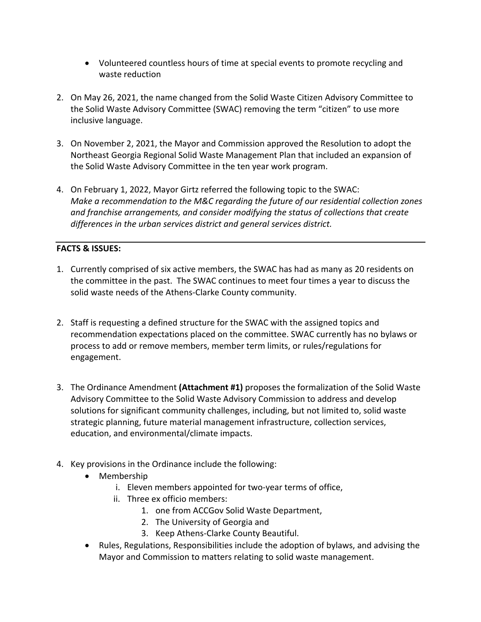- Volunteered countless hours of time at special events to promote recycling and waste reduction
- 2. On May 26, 2021, the name changed from the Solid Waste Citizen Advisory Committee to the Solid Waste Advisory Committee (SWAC) removing the term "citizen" to use more inclusive language.
- 3. On November 2, 2021, the Mayor and Commission approved the Resolution to adopt the Northeast Georgia Regional Solid Waste Management Plan that included an expansion of the Solid Waste Advisory Committee in the ten year work program.
- 4. On February 1, 2022, Mayor Girtz referred the following topic to the SWAC: *Make a recommendation to the M&C regarding the future of our residential collection zones and franchise arrangements, and consider modifying the status of collections that create differences in the urban services district and general services district.*

# **FACTS & ISSUES:**

- 1. Currently comprised of six active members, the SWAC has had as many as 20 residents on the committee in the past. The SWAC continues to meet four times a year to discuss the solid waste needs of the Athens-Clarke County community.
- 2. Staff is requesting a defined structure for the SWAC with the assigned topics and recommendation expectations placed on the committee. SWAC currently has no bylaws or process to add or remove members, member term limits, or rules/regulations for engagement.
- 3. The Ordinance Amendment **(Attachment #1)** proposes the formalization of the Solid Waste Advisory Committee to the Solid Waste Advisory Commission to address and develop solutions for significant community challenges, including, but not limited to, solid waste strategic planning, future material management infrastructure, collection services, education, and environmental/climate impacts.
- 4. Key provisions in the Ordinance include the following:
	- Membership
		- i. Eleven members appointed for two‐year terms of office,
		- ii. Three ex officio members:
			- 1. one from ACCGov Solid Waste Department,
			- 2. The University of Georgia and
			- 3. Keep Athens‐Clarke County Beautiful.
	- Rules, Regulations, Responsibilities include the adoption of bylaws, and advising the Mayor and Commission to matters relating to solid waste management.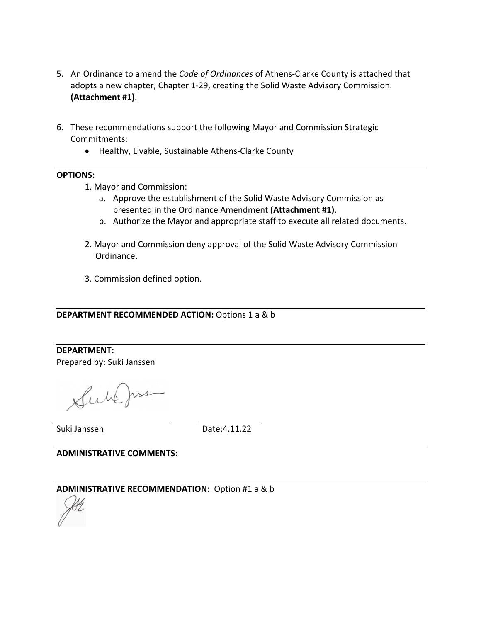- 5. An Ordinance to amend the *Code of Ordinances* of Athens‐Clarke County is attached that adopts a new chapter, Chapter 1‐29, creating the Solid Waste Advisory Commission. **(Attachment #1)**.
- 6. These recommendations support the following Mayor and Commission Strategic Commitments:
	- Healthy, Livable, Sustainable Athens-Clarke County

#### **OPTIONS:**

- 1. Mayor and Commission:
	- a. Approve the establishment of the Solid Waste Advisory Commission as presented in the Ordinance Amendment **(Attachment #1)**.
	- b. Authorize the Mayor and appropriate staff to execute all related documents.
- 2. Mayor and Commission deny approval of the Solid Waste Advisory Commission Ordinance.
- 3. Commission defined option.

#### **DEPARTMENT RECOMMENDED ACTION:** Options 1 a & b

**DEPARTMENT:**  Prepared by: Suki Janssen

Sublemen

Suki Janssen Date:4.11.22

**ADMINISTRATIVE COMMENTS:** 

### **ADMINISTRATIVE RECOMMENDATION:** Option #1 a & b